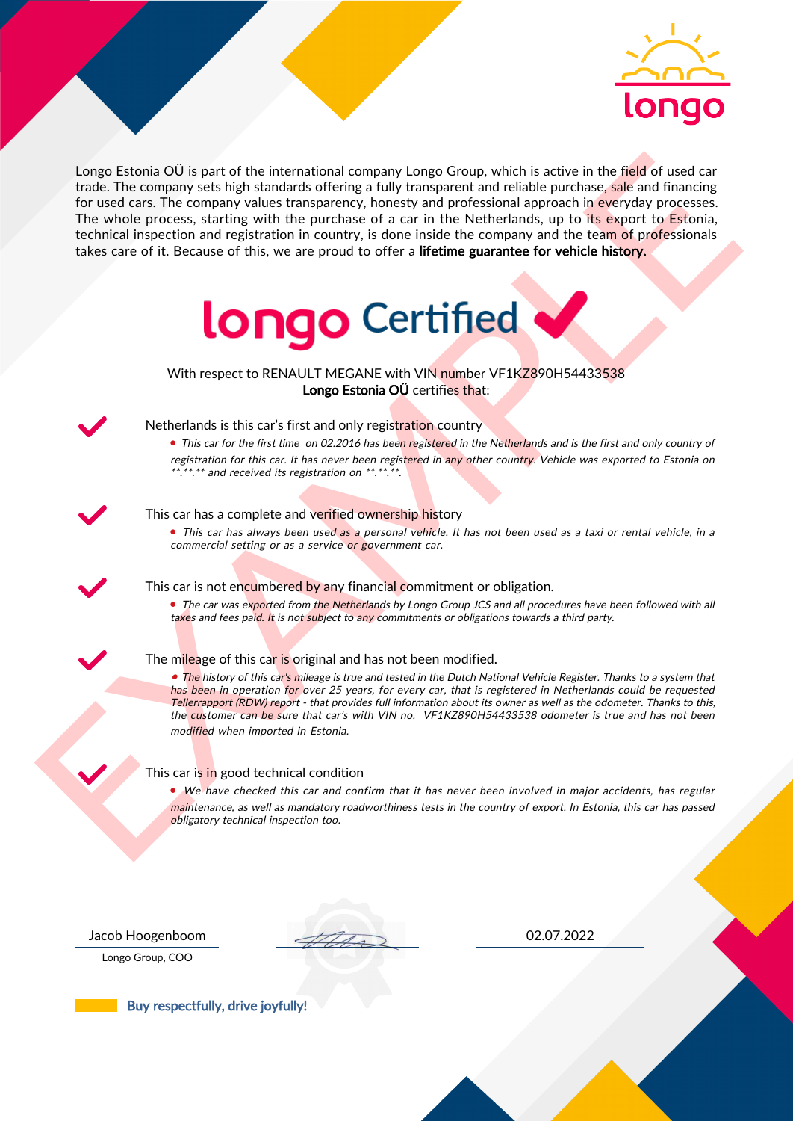

Length Entonio OI is part of the international company Length Company is the first of the field of used or the<br>
To tech care the company subsequence, the state in the particular of the particle and<br>
The value of the compa Longo Estonia OÜ is part of the international company Longo Group, which is active in the field of used car trade. The company sets high standards offering a fully transparent and reliable purchase, sale and financing for used cars. The company values transparency, honesty and professional approach in everyday processes. The whole process, starting with the purchase of a car in the Netherlands, up to its export to Estonia, technical inspection and registration in country, is done inside the company and the team of professionals takes care of it. Because of this, we are proud to offer a lifetime guarantee for vehicle history.



With respect to RENAULT MEGANE with VIN number VF1KZ890H54433538 Longo Estonia OÜ certifies that:



## Netherlands is this car's first and only registration country

• This car for the first time on 02.2016 has been registered in the Netherlands and is the first and only country of registration for this car. It has never been registered in any other country. Vehicle was exported to Estonia on \*.\*\*.\*\* and received its registration on \*\*.\*\*.\*\*.

#### This car has a complete and verified ownership history

• This car has always been used as a personal vehicle. It has not been used as a taxi or rental vehicle, in a commercial setting or as a service or government car.

This car is not encumbered by any financial commitment or obligation.

• The car was exported from the Netherlands by Longo Group JCS and all procedures have been followed with all taxes and fees paid. It is not subject to any commitments or obligations towards a third party.

### The mileage of this car is original and has not been modified.

• The history of this car's mileage is true and tested in the Dutch National Vehicle Register. Thanks to a system that has been in operation for over 25 years, for every car, that is registered in Netherlands could be requested Tellerrapport (RDW) report - that provides full information about its owner as well as the odometer. Thanks to this, the customer can be sure that car's with VIN no. VF1KZ890H54433538 odometer is true and has not been modified when imported in Estonia.

### This car is in good technical condition

• We have checked this car and confirm that it has never been involved in major accidents, has regular maintenance, as well as mandatory roadworthiness tests in the country of export. In Estonia, this car has passed obligatory technical inspection too.

Longo Group, COO

Jacob Hoogenboom 02.07.2022

Buy respectfully, drive joyfully!